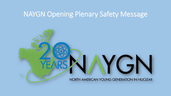# NAYGN Opening Plenary Safety Message

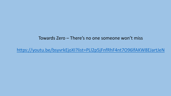#### Towards Zero – There's no one someone won't miss

<https://youtu.be/bsyvrkEjoXI?list=PLl2p5jFnfRhF4nt7O96lfAKW8EJartJeN>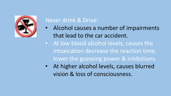

# Never drink & Drive:

- Alcohol causes a number of impairments that lead to the car accident.
- At low blood alcohol levels, causes the intoxication decrease the reaction time, lower the guessing power & inhibitions.
- At higher alcohol levels, causes blurred vision & loss of consciousness.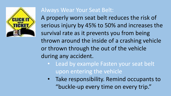

## Always Wear Your Seat Belt:

A properly worn seat belt reduces the risk of serious injury by 45% to 50% and increases the survival rate as it prevents you from being thrown around the inside of a crashing vehicle or thrown through the out of the vehicle during any accident.

- Lead by example Fasten your seat belt upon entering the vehicle
- Take responsibility. Remind occupants to "buckle-up every time on every trip."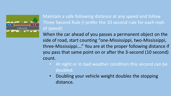

Maintain a safe following distance at any speed and follow Three Second Rule (I prefer the 10 second rule for each mph of speed):

When the car ahead of you passes a permanent object on the side of road, start counting "one-Mississippi, two-Mississippi, three-Mississippi…." You are at the proper following distance if you pass that same point on or after the 3-second (10 second) count.

- At night or in bad weather condition this second can be doubled.
- Doubling your vehicle weight doubles the stopping distance.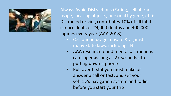

Always Avoid Distractions (Eating, cell phone usage, locating objects, personal hygiene, etc): Distracted driving contributes 10% of all fatal car accidents or  $~4,000$  deaths and 400,000 injuries every year (AAA 2018)

- Cell phone usage: unsafe & against many State laws, including TN
- AAA research found mental distractions can linger as long as 27 seconds after putting down a phone
- Pull over first if you must make or answer a call or text, and set your vehicle's navigation system and radio before you start your trip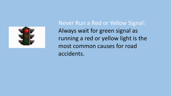

Never Run a Red or Yellow Signal: Always wait for green signal as running a red or yellow light is the most common causes for road accidents.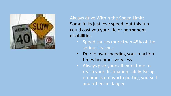

Always drive Within the Speed Limit: Some folks just love speed, but this fun could cost you your life or permanent disabilities.

- Speed causes more than 45% of the serious crashes
- Due to over speeding your reaction times becomes very less
- Always give yourself extra time to reach your destination safely. Being on time is not worth putting yourself and others in danger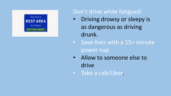

# Don't drive while fatigued:

- Driving drowsy or sleepy is as dangerous as driving drunk.
- Save lives with a 15+ minute power nap
- Allow to someone else to drive
- Take a cab/Uber.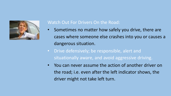

#### Watch Out For Drivers On the Road:

- Sometimes no matter how safely you drive, there are cases where someone else crashes into you or causes a dangerous situation.
- Drive defensively; be responsible, alert and situationally aware, and avoid aggressive driving.
- You can never assume the action of another driver on the road; i.e. even after the left indicator shows, the driver might not take left turn.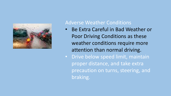

### Adverse Weather Conditions

- Be Extra Careful in Bad Weather or Poor Driving Conditions as these weather conditions require more attention than normal driving.
- Drive below speed limit, maintain proper distance, and take extra precaution on turns, steering, and braking.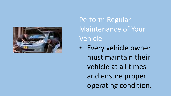

Perform Regular Maintenance of Your Vehicle

• Every vehicle owner must maintain their vehicle at all times and ensure proper operating condition.